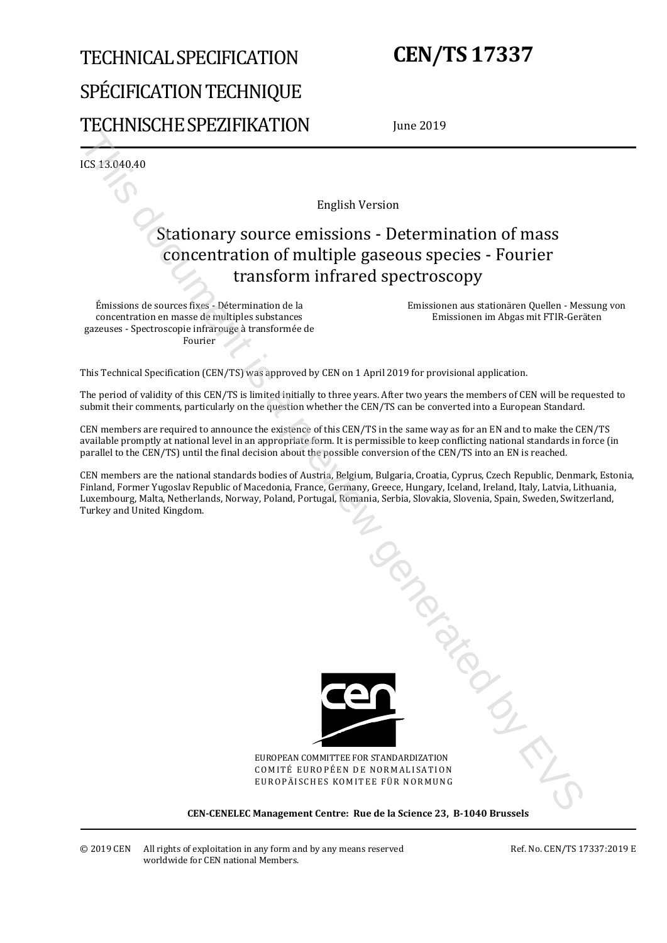# TECHNICAL SPECIFICATION SPÉCIFICATION TECHNIQUE TECHNISCHE SPEZIFIKATION

## **CEN/TS 17337**

June 2019

ICS 13.040.40

English Version

## Stationary source emissions - Determination of mass concentration of multiple gaseous species - Fourier transform infrared spectroscopy

Émissions de sources fixes - Détermination de la concentration en masse de multiples substances gazeuses - Spectroscopie infrarouge à transformée de Fourier

 Emissionen aus stationären Quellen - Messung von Emissionen im Abgas mit FTIR-Geräten

This Technical Specification (CEN/TS) was approved by CEN on 1 April 2019 for provisional application.

The period of validity of this CEN/TS is limited initially to three years. After two years the members of CEN will be requested to submit their comments, particularly on the question whether the CEN/TS can be converted into a European Standard.

CEN members are required to announce the existence of this CEN/TS in the same way as for an EN and to make the CEN/TS available promptly at national level in an appropriate form. It is permissible to keep conflicting national standards in force (in parallel to the CEN/TS) until the final decision about the possible conversion of the CEN/TS into an EN is reached.

CEN members are the national standards bodies of Austria, Belgium, Bulgaria, Croatia, Cyprus, Czech Republic, Denmark, Estonia, Finland, Former Yugoslav Republic of Macedonia, France, Germany, Greece, Hungary, Iceland, Ireland, Italy, Latvia, Lithuania, Luxembourg, Malta, Netherlands, Norway, Poland, Portugal, Romania, Serbia, Slovakia, Slovenia, Spain, Sweden, Switzerland, Turkey and United Kingdom.



EUROPEAN COMMITTEE FOR STANDARDIZATION COMITÉ EUROPÉEN DE NORMALISATION EUROPÄISCHES KOMITEE FÜR NORMUNG

**CEN-CENELEC Management Centre: Rue de la Science 23, B-1040 Brussels**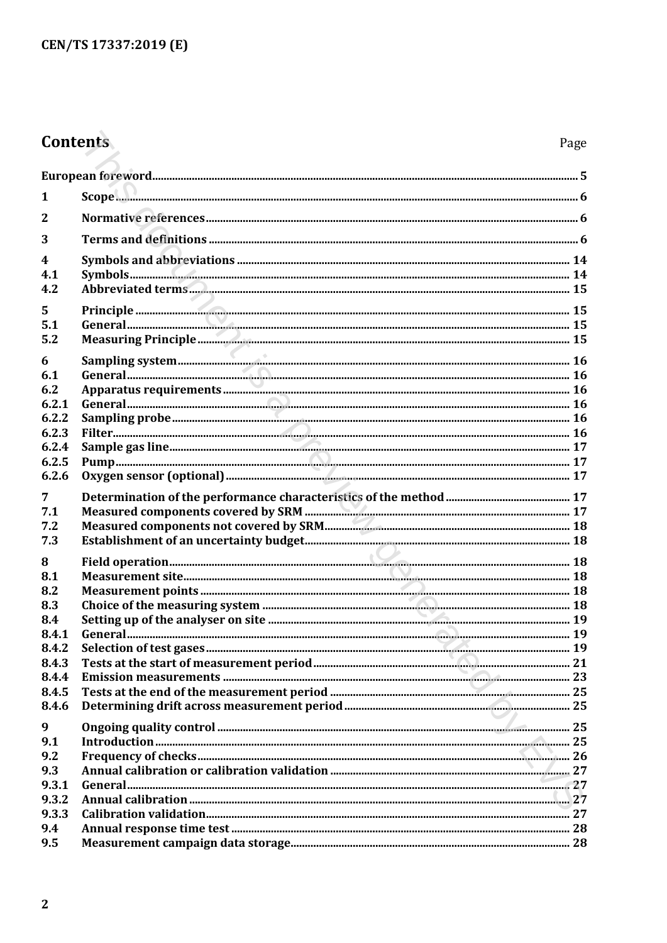## Contents

| 1                       | $\mathcal{S} \mathcal{C} \mathcal{O} \mathcal{D} \mathcal{C}$ |  |  |
|-------------------------|---------------------------------------------------------------|--|--|
| $\overline{2}$          |                                                               |  |  |
| 3                       |                                                               |  |  |
| $\overline{\mathbf{4}}$ |                                                               |  |  |
| 4.1                     |                                                               |  |  |
| 4.2                     |                                                               |  |  |
| 5                       |                                                               |  |  |
| 5.1                     |                                                               |  |  |
| 5.2                     |                                                               |  |  |
| 6                       |                                                               |  |  |
| 6.1                     |                                                               |  |  |
| 6.2<br>6.2.1            |                                                               |  |  |
| 6.2.2                   |                                                               |  |  |
| 6.2.3                   |                                                               |  |  |
| 6.2.4                   |                                                               |  |  |
| 6.2.5                   |                                                               |  |  |
| 6.2.6                   |                                                               |  |  |
| 7                       |                                                               |  |  |
| 7.1                     |                                                               |  |  |
| 7.2                     |                                                               |  |  |
| 7.3                     |                                                               |  |  |
| 8                       |                                                               |  |  |
| 8.1                     |                                                               |  |  |
| 8.2                     |                                                               |  |  |
| 8.3<br>8.4              |                                                               |  |  |
| 8.4.1                   |                                                               |  |  |
| 8.4.2                   |                                                               |  |  |
| 8.4.3                   |                                                               |  |  |
| 8.4.4                   |                                                               |  |  |
| 8.4.5                   |                                                               |  |  |
| 8.4.6                   |                                                               |  |  |
| 9                       |                                                               |  |  |
| 9.1                     |                                                               |  |  |
| 9.2<br>9.3              |                                                               |  |  |
| 9.3.1                   |                                                               |  |  |
| 9.3.2                   |                                                               |  |  |
| 9.3.3                   |                                                               |  |  |
| 9.4                     |                                                               |  |  |
| 9.5                     |                                                               |  |  |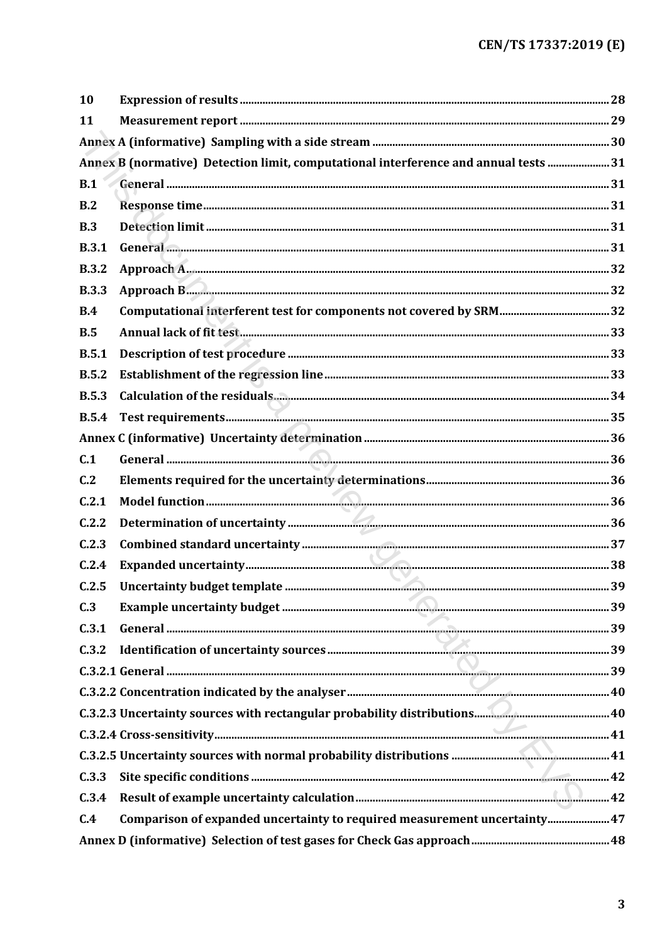| 10           |                                                                                     |  |
|--------------|-------------------------------------------------------------------------------------|--|
| 11           |                                                                                     |  |
|              |                                                                                     |  |
|              | Annex B (normative) Detection limit, computational interference and annual tests 31 |  |
| B.1          |                                                                                     |  |
| B.2          |                                                                                     |  |
| B.3          |                                                                                     |  |
| <b>B.3.1</b> |                                                                                     |  |
| <b>B.3.2</b> |                                                                                     |  |
| <b>B.3.3</b> |                                                                                     |  |
| B.4          |                                                                                     |  |
| B.5          |                                                                                     |  |
| B.5.1        |                                                                                     |  |
| B.5.2        |                                                                                     |  |
| <b>B.5.3</b> |                                                                                     |  |
| <b>B.5.4</b> |                                                                                     |  |
|              |                                                                                     |  |
| C.1          |                                                                                     |  |
| C.2          |                                                                                     |  |
| C.2.1        |                                                                                     |  |
| C.2.2        |                                                                                     |  |
| C.2.3        |                                                                                     |  |
| C.2.4        |                                                                                     |  |
| C.2.5        |                                                                                     |  |
| C.3          |                                                                                     |  |
| C.3.1        |                                                                                     |  |
| C.3.2        |                                                                                     |  |
|              |                                                                                     |  |
|              |                                                                                     |  |
|              |                                                                                     |  |
|              |                                                                                     |  |
|              |                                                                                     |  |
| C.3.3        |                                                                                     |  |
| C.3.4        |                                                                                     |  |
| C.4          | Comparison of expanded uncertainty to required measurement uncertainty 47           |  |
|              |                                                                                     |  |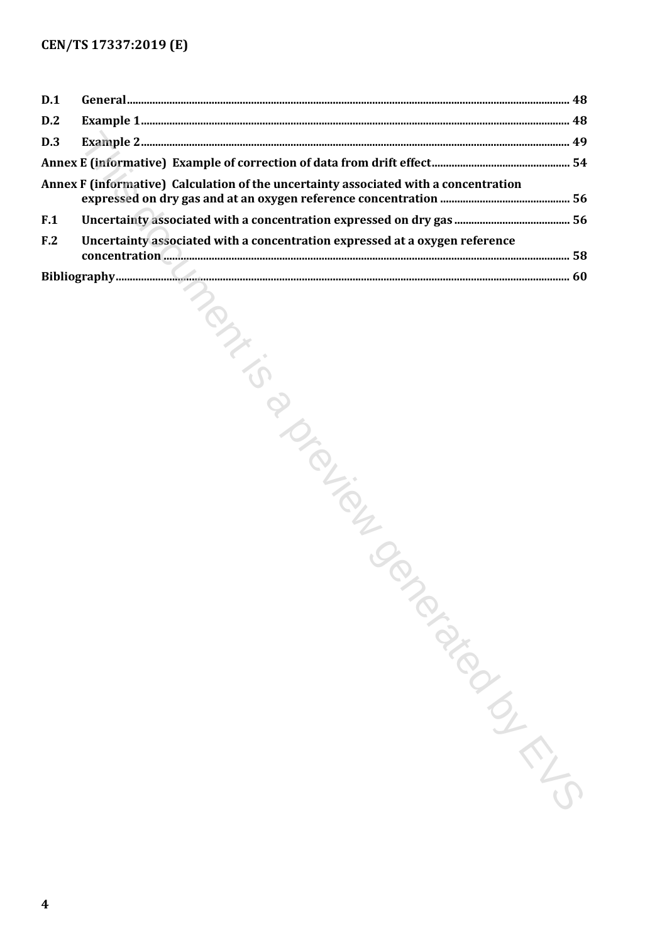| D.1             |                                                                                      |  |
|-----------------|--------------------------------------------------------------------------------------|--|
| D.2             |                                                                                      |  |
| D.3             |                                                                                      |  |
|                 |                                                                                      |  |
|                 | Annex F (informative) Calculation of the uncertainty associated with a concentration |  |
| F.1             |                                                                                      |  |
| F <sub>.2</sub> | Uncertainty associated with a concentration expressed at a oxygen reference          |  |
|                 |                                                                                      |  |
|                 | TONICONS                                                                             |  |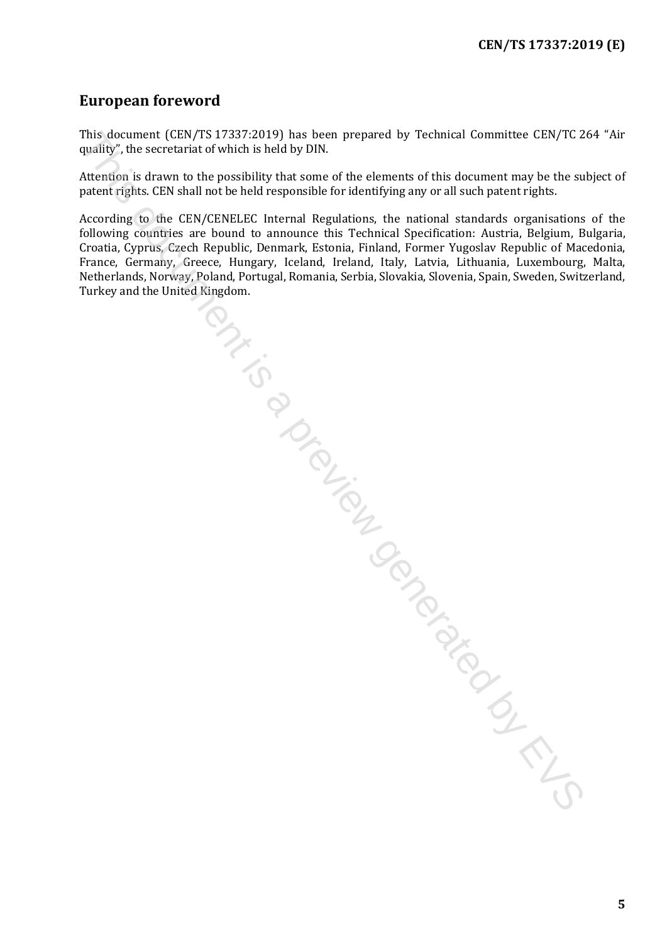## <span id="page-4-0"></span>**European foreword**

This document (CEN/TS 17337:2019) has been prepared by Technical Committee CEN/TC 264 "Air quality", the secretariat of which is held by DIN.

Attention is drawn to the possibility that some of the elements of this document may be the subject of patent rights. CEN shall not be held responsible for identifying any or all such patent rights.

According to the CEN/CENELEC Internal Regulations, the national standards organisations of the following countries are bound to announce this Technical Specification: Austria, Belgium, Bulgaria, Croatia, Cyprus, Czech Republic, Denmark, Estonia, Finland, Former Yugoslav Republic of Macedonia, Croatia, Cyprus, Czech Republic, Denmark, Estonia, Finland, Former Yugoslav Republic of Macedonia, France, Germany, Greece, Hungary, Iceland, Ireland, Italy, Latvia, Lithuania, Luxembourg, Malta, Netherlands, Norway, Poland, Portugal, Romania, Serbia, Slovakia, Slovenia, Spain, Sweden, Switzerland, Turkey and the United Kingdom. This document (CEN/TS 2337-2019) has been prepared by Technical Committee CEN/TC 2<br>quality', the secretariat of which is held by DIN.<br>
Attention'is drawn to the possibility that some of the elements of this document may be